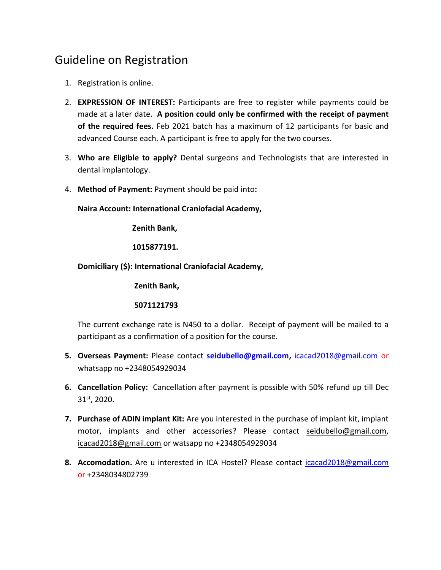## Guideline on Registration

- 1. Registration is online.
- 2. **EXPRESSION OF INTEREST:** Participants are free to register while payments could be made at a later date. **A position could only be confirmed with the receipt of payment of the required fees.** Feb 2021 batch has a maximum of 12 participants for basic and advanced Course each. A participant is free to apply for the two courses.
- 3. **Who are Eligible to apply?** Dental surgeons and Technologists that are interested in dental implantology.
- 4. **Method of Payment:** Payment should be paid into**:**

**Naira Account: International Craniofacial Academy,** 

 **Zenith Bank,** 

 **1015877191.** 

**Domiciliary (\$): International Craniofacial Academy,**

 **Zenith Bank,**

## **5071121793**

The current exchange rate is N450 to a dollar. Receipt of payment will be mailed to a participant as a confirmation of a position for the course.

- **5. Overseas Payment:** Please contact **[seidubello@gmail.com,](mailto:seidubello@gmail.com)** [icacad2018@gmail.com](mailto:icacad2018@gmail.com) or whatsapp no +2348054929034
- **6. Cancellation Policy:** Cancellation after payment is possible with 50% refund up till Dec 31st, 2020.
- **7. Purchase of ADIN implant Kit:** Are you interested in the purchase of implant kit, implant motor, implants and other accessories? Please contact [seidubello@gmail.com,](mailto:seidubello@gmail.com) [icacad2018@gmail.com](mailto:icacad2018@gmail.com) or watsapp no +2348054929034
- **8. Accomodation.** Are u interested in ICA Hostel? Please contact [icacad2018@gmail.com](mailto:icacad2018@gmail.com) or +2348034802739